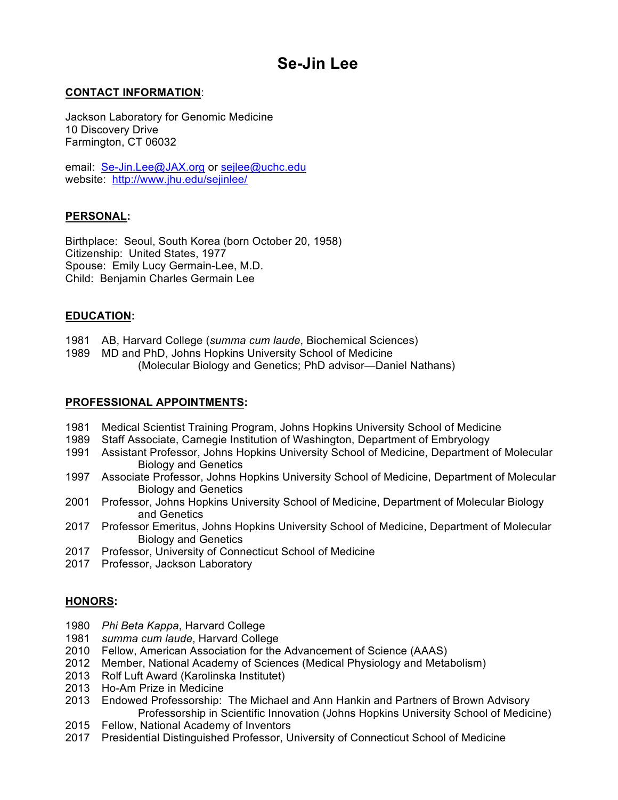# **Se-Jin Lee**

# **CONTACT INFORMATION**:

Jackson Laboratory for Genomic Medicine 10 Discovery Drive Farmington, CT 06032

email: Se-Jin.Lee@JAX.org or sejlee@uchc.edu website: http://www.jhu.edu/sejinlee/

#### **PERSONAL:**

Birthplace: Seoul, South Korea (born October 20, 1958) Citizenship: United States, 1977 Spouse: Emily Lucy Germain-Lee, M.D. Child: Benjamin Charles Germain Lee

#### **EDUCATION:**

- 1981 AB, Harvard College (*summa cum laude*, Biochemical Sciences)
- 1989 MD and PhD, Johns Hopkins University School of Medicine (Molecular Biology and Genetics; PhD advisor—Daniel Nathans)

#### **PROFESSIONAL APPOINTMENTS:**

- 1981 Medical Scientist Training Program, Johns Hopkins University School of Medicine
- 1989 Staff Associate, Carnegie Institution of Washington, Department of Embryology
- 1991 Assistant Professor, Johns Hopkins University School of Medicine, Department of Molecular Biology and Genetics
- 1997 Associate Professor, Johns Hopkins University School of Medicine, Department of Molecular Biology and Genetics
- 2001 Professor, Johns Hopkins University School of Medicine, Department of Molecular Biology and Genetics
- 2017 Professor Emeritus, Johns Hopkins University School of Medicine, Department of Molecular Biology and Genetics
- 2017 Professor, University of Connecticut School of Medicine
- 2017 Professor, Jackson Laboratory

# **HONORS:**

- 1980 *Phi Beta Kappa*, Harvard College
- 1981 *summa cum laude*, Harvard College
- 2010 Fellow, American Association for the Advancement of Science (AAAS)
- 2012 Member, National Academy of Sciences (Medical Physiology and Metabolism)
- 2013 Rolf Luft Award (Karolinska Institutet)
- 2013 Ho-Am Prize in Medicine
- 2013 Endowed Professorship: The Michael and Ann Hankin and Partners of Brown Advisory Professorship in Scientific Innovation (Johns Hopkins University School of Medicine)
- 2015 Fellow, National Academy of Inventors
- 2017 Presidential Distinguished Professor, University of Connecticut School of Medicine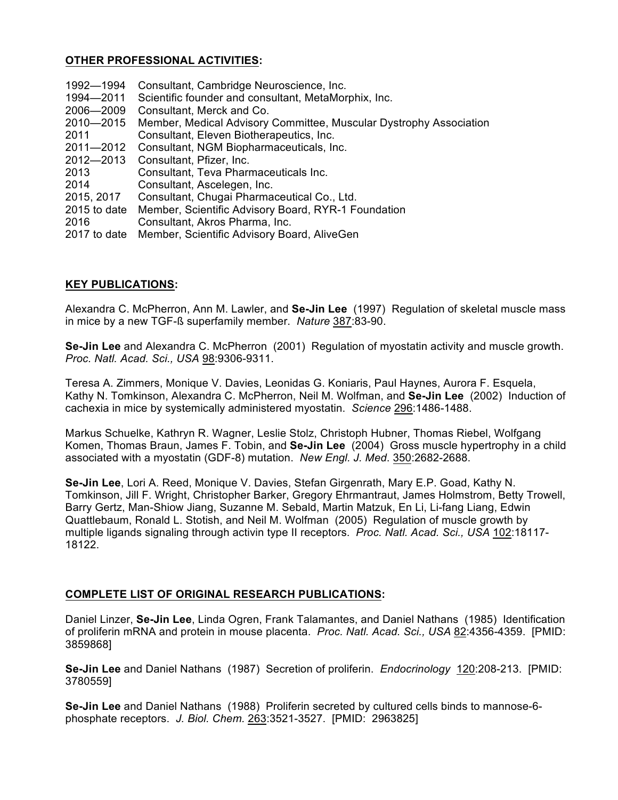# **OTHER PROFESSIONAL ACTIVITIES:**

| 1992-1994      | Consultant, Cambridge Neuroscience, Inc.                           |
|----------------|--------------------------------------------------------------------|
| 1994-2011      | Scientific founder and consultant, MetaMorphix, Inc.               |
| 2006-2009      | Consultant, Merck and Co.                                          |
| 2010-2015      | Member, Medical Advisory Committee, Muscular Dystrophy Association |
| 2011           | Consultant, Eleven Biotherapeutics, Inc.                           |
| 2011-2012      | Consultant, NGM Biopharmaceuticals, Inc.                           |
| 2012-2013      | Consultant, Pfizer, Inc.                                           |
| 2013           | Consultant, Teva Pharmaceuticals Inc.                              |
| 2014           | Consultant, Ascelegen, Inc.                                        |
| 2015, 2017     | Consultant, Chugai Pharmaceutical Co., Ltd.                        |
| 2015 to date   | Member, Scientific Advisory Board, RYR-1 Foundation                |
| 2016           | Consultant, Akros Pharma, Inc.                                     |
| $2017$ to data | Mombor Scientific Advisory Board, AliveCon                         |

2017 to date Member, Scientific Advisory Board, AliveGen

# **KEY PUBLICATIONS:**

Alexandra C. McPherron, Ann M. Lawler, and **Se-Jin Lee** (1997) Regulation of skeletal muscle mass in mice by a new TGF-ß superfamily member. *Nature* 387:83-90.

**Se-Jin Lee** and Alexandra C. McPherron (2001) Regulation of myostatin activity and muscle growth. *Proc. Natl. Acad. Sci., USA* 98:9306-9311.

Teresa A. Zimmers, Monique V. Davies, Leonidas G. Koniaris, Paul Haynes, Aurora F. Esquela, Kathy N. Tomkinson, Alexandra C. McPherron, Neil M. Wolfman, and **Se-Jin Lee** (2002) Induction of cachexia in mice by systemically administered myostatin. *Science* 296:1486-1488.

Markus Schuelke, Kathryn R. Wagner, Leslie Stolz, Christoph Hubner, Thomas Riebel, Wolfgang Komen, Thomas Braun, James F. Tobin, and **Se-Jin Lee** (2004) Gross muscle hypertrophy in a child associated with a myostatin (GDF-8) mutation. *New Engl. J. Med*. 350:2682-2688.

**Se-Jin Lee**, Lori A. Reed, Monique V. Davies, Stefan Girgenrath, Mary E.P. Goad, Kathy N. Tomkinson, Jill F. Wright, Christopher Barker, Gregory Ehrmantraut, James Holmstrom, Betty Trowell, Barry Gertz, Man-Shiow Jiang, Suzanne M. Sebald, Martin Matzuk, En Li, Li-fang Liang, Edwin Quattlebaum, Ronald L. Stotish, and Neil M. Wolfman (2005) Regulation of muscle growth by multiple ligands signaling through activin type II receptors. *Proc. Natl. Acad. Sci., USA* 102:18117- 18122.

# **COMPLETE LIST OF ORIGINAL RESEARCH PUBLICATIONS:**

Daniel Linzer, **Se-Jin Lee**, Linda Ogren, Frank Talamantes, and Daniel Nathans (1985) Identification of proliferin mRNA and protein in mouse placenta. *Proc. Natl. Acad. Sci., USA* 82:4356-4359. [PMID: 3859868]

**Se-Jin Lee** and Daniel Nathans (1987) Secretion of proliferin. *Endocrinology* 120:208-213. [PMID: 3780559]

**Se-Jin Lee** and Daniel Nathans (1988) Proliferin secreted by cultured cells binds to mannose-6 phosphate receptors. *J. Biol. Chem.* 263:3521-3527. [PMID: 2963825]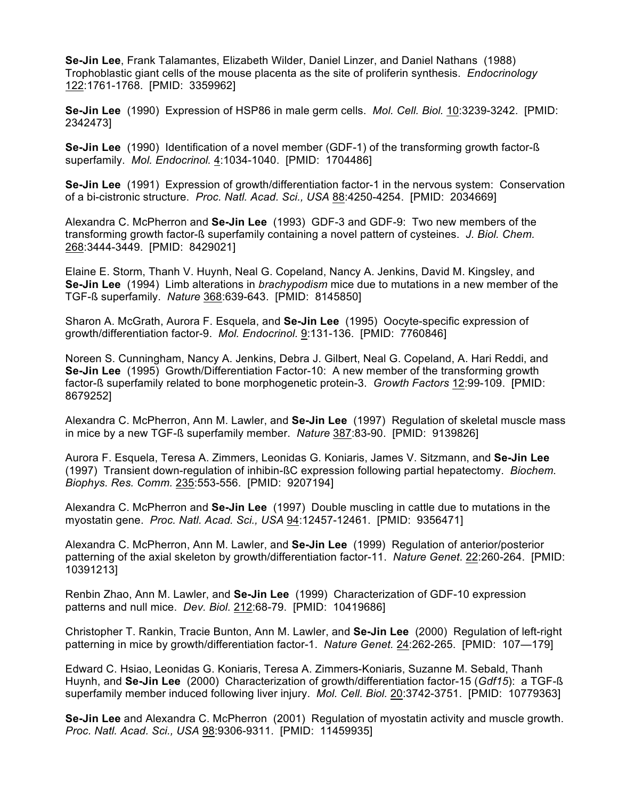**Se-Jin Lee**, Frank Talamantes, Elizabeth Wilder, Daniel Linzer, and Daniel Nathans (1988) Trophoblastic giant cells of the mouse placenta as the site of proliferin synthesis. *Endocrinology* 122:1761-1768. [PMID: 3359962]

**Se-Jin Lee** (1990) Expression of HSP86 in male germ cells. *Mol. Cell. Biol.* 10:3239-3242. [PMID: 2342473]

**Se-Jin Lee** (1990) Identification of a novel member (GDF-1) of the transforming growth factor-ß superfamily. *Mol. Endocrinol.* 4:1034-1040. [PMID: 1704486]

**Se-Jin Lee** (1991) Expression of growth/differentiation factor-1 in the nervous system: Conservation of a bi-cistronic structure. *Proc. Natl. Acad. Sci., USA* 88:4250-4254. [PMID: 2034669]

Alexandra C. McPherron and **Se-Jin Lee** (1993) GDF-3 and GDF-9: Two new members of the transforming growth factor-ß superfamily containing a novel pattern of cysteines. *J. Biol. Chem.* 268:3444-3449. [PMID: 8429021]

Elaine E. Storm, Thanh V. Huynh, Neal G. Copeland, Nancy A. Jenkins, David M. Kingsley, and **Se-Jin Lee** (1994) Limb alterations in *brachypodism* mice due to mutations in a new member of the TGF-ß superfamily. *Nature* 368:639-643. [PMID: 8145850]

Sharon A. McGrath, Aurora F. Esquela, and **Se-Jin Lee** (1995) Oocyte-specific expression of growth/differentiation factor-9. *Mol. Endocrinol.* 9:131-136. [PMID: 7760846]

Noreen S. Cunningham, Nancy A. Jenkins, Debra J. Gilbert, Neal G. Copeland, A. Hari Reddi, and **Se-Jin Lee** (1995) Growth/Differentiation Factor-10: A new member of the transforming growth factor-ß superfamily related to bone morphogenetic protein-3. *Growth Factors* 12:99-109. [PMID: 8679252]

Alexandra C. McPherron, Ann M. Lawler, and **Se-Jin Lee** (1997) Regulation of skeletal muscle mass in mice by a new TGF-ß superfamily member. *Nature* 387:83-90. [PMID: 9139826]

Aurora F. Esquela, Teresa A. Zimmers, Leonidas G. Koniaris, James V. Sitzmann, and **Se-Jin Lee** (1997) Transient down-regulation of inhibin-ßC expression following partial hepatectomy. *Biochem. Biophys. Res. Comm.* 235:553-556. [PMID: 9207194]

Alexandra C. McPherron and **Se-Jin Lee** (1997) Double muscling in cattle due to mutations in the myostatin gene. *Proc. Natl. Acad. Sci., USA* 94:12457-12461. [PMID: 9356471]

Alexandra C. McPherron, Ann M. Lawler, and **Se-Jin Lee** (1999) Regulation of anterior/posterior patterning of the axial skeleton by growth/differentiation factor-11. *Nature Genet*. 22:260-264. [PMID: 10391213]

Renbin Zhao, Ann M. Lawler, and **Se-Jin Lee** (1999) Characterization of GDF-10 expression patterns and null mice. *Dev. Biol.* 212:68-79. [PMID: 10419686]

Christopher T. Rankin, Tracie Bunton, Ann M. Lawler, and **Se-Jin Lee** (2000) Regulation of left-right patterning in mice by growth/differentiation factor-1. *Nature Genet.* 24:262-265. [PMID: 107—179]

Edward C. Hsiao, Leonidas G. Koniaris, Teresa A. Zimmers-Koniaris, Suzanne M. Sebald, Thanh Huynh, and **Se-Jin Lee** (2000) Characterization of growth/differentiation factor-15 (*Gdf15*): a TGF-ß superfamily member induced following liver injury. *Mol. Cell. Biol.* 20:3742-3751. [PMID: 10779363]

**Se-Jin Lee** and Alexandra C. McPherron (2001) Regulation of myostatin activity and muscle growth. *Proc. Natl. Acad. Sci., USA* 98:9306-9311. [PMID: 11459935]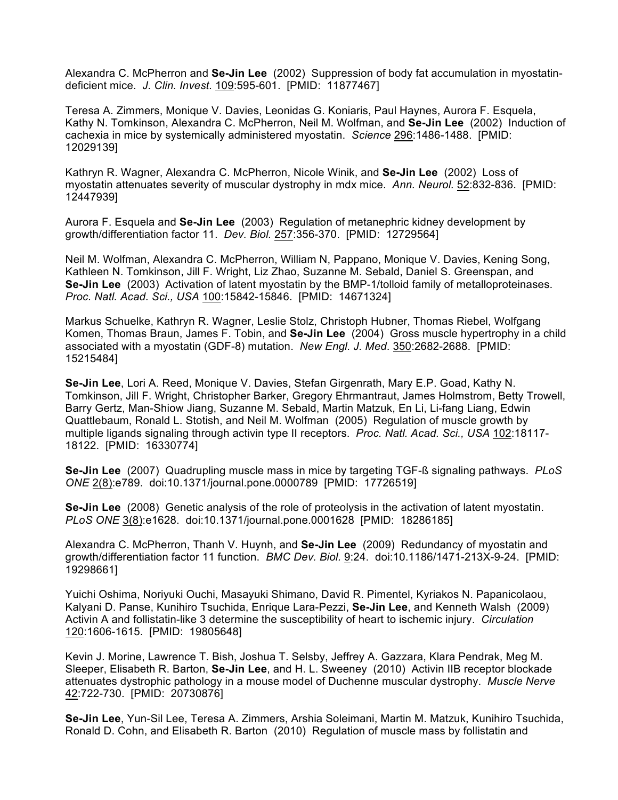Alexandra C. McPherron and **Se-Jin Lee** (2002) Suppression of body fat accumulation in myostatindeficient mice. *J. Clin. Invest.* 109:595-601. [PMID: 11877467]

Teresa A. Zimmers, Monique V. Davies, Leonidas G. Koniaris, Paul Haynes, Aurora F. Esquela, Kathy N. Tomkinson, Alexandra C. McPherron, Neil M. Wolfman, and **Se-Jin Lee** (2002) Induction of cachexia in mice by systemically administered myostatin. *Science* 296:1486-1488. [PMID: 12029139]

Kathryn R. Wagner, Alexandra C. McPherron, Nicole Winik, and **Se-Jin Lee** (2002) Loss of myostatin attenuates severity of muscular dystrophy in mdx mice. *Ann. Neurol.* 52:832-836. [PMID: 12447939]

Aurora F. Esquela and **Se-Jin Lee** (2003) Regulation of metanephric kidney development by growth/differentiation factor 11. *Dev. Biol.* 257:356-370. [PMID: 12729564]

Neil M. Wolfman, Alexandra C. McPherron, William N, Pappano, Monique V. Davies, Kening Song, Kathleen N. Tomkinson, Jill F. Wright, Liz Zhao, Suzanne M. Sebald, Daniel S. Greenspan, and **Se-Jin Lee** (2003) Activation of latent myostatin by the BMP-1/tolloid family of metalloproteinases. *Proc. Natl. Acad. Sci., USA* 100:15842-15846. [PMID: 14671324]

Markus Schuelke, Kathryn R. Wagner, Leslie Stolz, Christoph Hubner, Thomas Riebel, Wolfgang Komen, Thomas Braun, James F. Tobin, and **Se-Jin Lee** (2004) Gross muscle hypertrophy in a child associated with a myostatin (GDF-8) mutation. *New Engl. J. Med*. 350:2682-2688. [PMID: 15215484]

**Se-Jin Lee**, Lori A. Reed, Monique V. Davies, Stefan Girgenrath, Mary E.P. Goad, Kathy N. Tomkinson, Jill F. Wright, Christopher Barker, Gregory Ehrmantraut, James Holmstrom, Betty Trowell, Barry Gertz, Man-Shiow Jiang, Suzanne M. Sebald, Martin Matzuk, En Li, Li-fang Liang, Edwin Quattlebaum, Ronald L. Stotish, and Neil M. Wolfman (2005) Regulation of muscle growth by multiple ligands signaling through activin type II receptors. *Proc. Natl. Acad. Sci., USA* 102:18117- 18122. [PMID: 16330774]

**Se-Jin Lee** (2007) Quadrupling muscle mass in mice by targeting TGF-ß signaling pathways. *PLoS ONE* 2(8):e789. doi:10.1371/journal.pone.0000789 [PMID: 17726519]

**Se-Jin Lee** (2008) Genetic analysis of the role of proteolysis in the activation of latent myostatin. *PLoS ONE* 3(8):e1628. doi:10.1371/journal.pone.0001628 [PMID: 18286185]

Alexandra C. McPherron, Thanh V. Huynh, and **Se-Jin Lee** (2009) Redundancy of myostatin and growth/differentiation factor 11 function. *BMC Dev. Biol.* 9:24. doi:10.1186/1471-213X-9-24. [PMID: 19298661]

Yuichi Oshima, Noriyuki Ouchi, Masayuki Shimano, David R. Pimentel, Kyriakos N. Papanicolaou, Kalyani D. Panse, Kunihiro Tsuchida, Enrique Lara-Pezzi, **Se-Jin Lee**, and Kenneth Walsh (2009) Activin A and follistatin-like 3 determine the susceptibility of heart to ischemic injury. *Circulation* 120:1606-1615. [PMID: 19805648]

Kevin J. Morine, Lawrence T. Bish, Joshua T. Selsby, Jeffrey A. Gazzara, Klara Pendrak, Meg M. Sleeper, Elisabeth R. Barton, **Se-Jin Lee**, and H. L. Sweeney (2010) Activin IIB receptor blockade attenuates dystrophic pathology in a mouse model of Duchenne muscular dystrophy. *Muscle Nerve* 42:722-730. [PMID: 20730876]

**Se-Jin Lee**, Yun-Sil Lee, Teresa A. Zimmers, Arshia Soleimani, Martin M. Matzuk, Kunihiro Tsuchida, Ronald D. Cohn, and Elisabeth R. Barton (2010) Regulation of muscle mass by follistatin and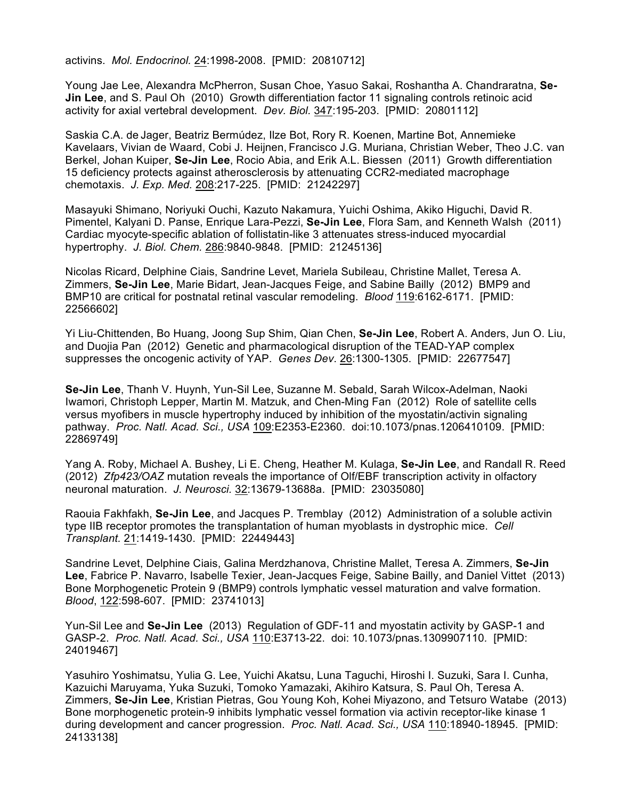activins. *Mol. Endocrinol.* 24:1998-2008. [PMID: 20810712]

Young Jae Lee, Alexandra McPherron, Susan Choe, Yasuo Sakai, Roshantha A. Chandraratna, **Se-Jin Lee**, and S. Paul Oh (2010) Growth differentiation factor 11 signaling controls retinoic acid activity for axial vertebral development. *Dev. Biol.* 347:195-203. [PMID: 20801112]

Saskia C.A. de Jager, Beatriz Bermúdez, Ilze Bot, Rory R. Koenen, Martine Bot, Annemieke Kavelaars, Vivian de Waard, Cobi J. Heijnen, Francisco J.G. Muriana, Christian Weber, Theo J.C. van Berkel, Johan Kuiper, **Se-Jin Lee**, Rocio Abia, and Erik A.L. Biessen (2011) Growth differentiation 15 deficiency protects against atherosclerosis by attenuating CCR2-mediated macrophage chemotaxis. *J. Exp. Med.* 208:217-225. [PMID: 21242297]

Masayuki Shimano, Noriyuki Ouchi, Kazuto Nakamura, Yuichi Oshima, Akiko Higuchi, David R. Pimentel, Kalyani D. Panse, Enrique Lara-Pezzi, **Se-Jin Lee**, Flora Sam, and Kenneth Walsh (2011) Cardiac myocyte-specific ablation of follistatin-like 3 attenuates stress-induced myocardial hypertrophy. *J. Biol. Chem.* 286:9840-9848. [PMID: 21245136]

Nicolas Ricard, Delphine Ciais, Sandrine Levet, Mariela Subileau, Christine Mallet, Teresa A. Zimmers, **Se-Jin Lee**, Marie Bidart, Jean-Jacques Feige, and Sabine Bailly (2012) BMP9 and BMP10 are critical for postnatal retinal vascular remodeling. *Blood* 119:6162-6171. [PMID: 22566602]

Yi Liu-Chittenden, Bo Huang, Joong Sup Shim, Qian Chen, **Se-Jin Lee**, Robert A. Anders, Jun O. Liu, and Duojia Pan (2012) Genetic and pharmacological disruption of the TEAD-YAP complex suppresses the oncogenic activity of YAP. *Genes Dev*. 26:1300-1305. [PMID: 22677547]

**Se-Jin Lee**, Thanh V. Huynh, Yun-Sil Lee, Suzanne M. Sebald, Sarah Wilcox-Adelman, Naoki Iwamori, Christoph Lepper, Martin M. Matzuk, and Chen-Ming Fan (2012) Role of satellite cells versus myofibers in muscle hypertrophy induced by inhibition of the myostatin/activin signaling pathway. *Proc. Natl. Acad. Sci., USA* 109:E2353-E2360. doi:10.1073/pnas.1206410109. [PMID: 22869749]

Yang A. Roby, Michael A. Bushey, Li E. Cheng, Heather M. Kulaga, **Se-Jin Lee**, and Randall R. Reed (2012) *Zfp423/OAZ* mutation reveals the importance of Olf/EBF transcription activity in olfactory neuronal maturation. *J. Neurosci.* 32:13679-13688a. [PMID: 23035080]

Raouia Fakhfakh, **Se-Jin Lee**, and Jacques P. Tremblay (2012) Administration of a soluble activin type IIB receptor promotes the transplantation of human myoblasts in dystrophic mice. *Cell Transplant.* 21:1419-1430. [PMID: 22449443]

Sandrine Levet, Delphine Ciais, Galina Merdzhanova, Christine Mallet, Teresa A. Zimmers, **Se-Jin Lee**, Fabrice P. Navarro, Isabelle Texier, Jean-Jacques Feige, Sabine Bailly, and Daniel Vittet (2013) Bone Morphogenetic Protein 9 (BMP9) controls lymphatic vessel maturation and valve formation. *Blood*, 122:598-607. [PMID: 23741013]

Yun-Sil Lee and **Se-Jin Lee** (2013) Regulation of GDF-11 and myostatin activity by GASP-1 and GASP-2. *Proc. Natl. Acad. Sci., USA* 110:E3713-22. doi: 10.1073/pnas.1309907110*.* [PMID: 24019467]

Yasuhiro Yoshimatsu, Yulia G. Lee, Yuichi Akatsu, Luna Taguchi, Hiroshi I. Suzuki, Sara I. Cunha, Kazuichi Maruyama, Yuka Suzuki, Tomoko Yamazaki, Akihiro Katsura, S. Paul Oh, Teresa A. Zimmers, **Se-Jin Lee**, Kristian Pietras, Gou Young Koh, Kohei Miyazono, and Tetsuro Watabe (2013) Bone morphogenetic protein-9 inhibits lymphatic vessel formation via activin receptor-like kinase 1 during development and cancer progression. *Proc. Natl. Acad. Sci., USA* 110:18940-18945. [PMID: 24133138]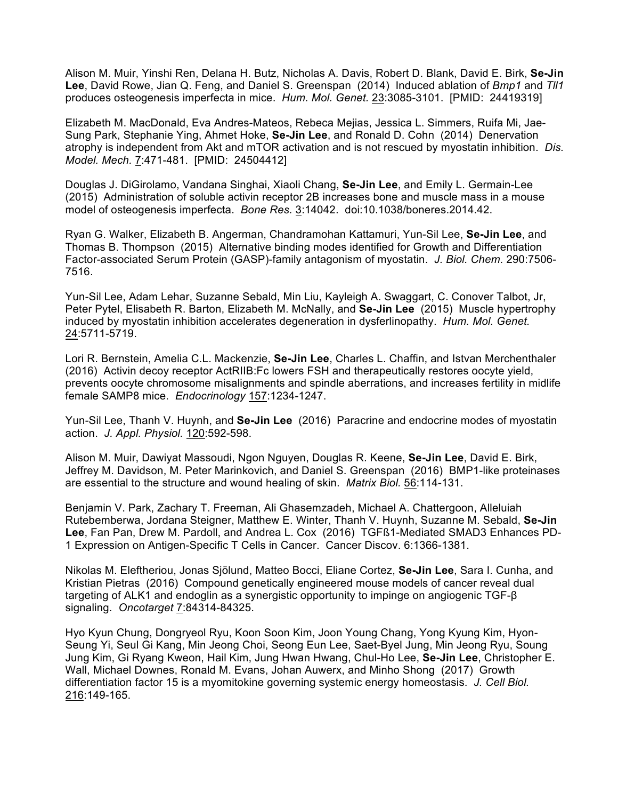Alison M. Muir, Yinshi Ren, Delana H. Butz, Nicholas A. Davis, Robert D. Blank, David E. Birk, **Se-Jin Lee**, David Rowe, Jian Q. Feng, and Daniel S. Greenspan (2014) Induced ablation of *Bmp1* and *Tll1* produces osteogenesis imperfecta in mice. *Hum. Mol. Genet.* 23:3085-3101. [PMID: 24419319]

Elizabeth M. MacDonald, Eva Andres-Mateos, Rebeca Mejias, Jessica L. Simmers, Ruifa Mi, Jae-Sung Park, Stephanie Ying, Ahmet Hoke, **Se-Jin Lee**, and Ronald D. Cohn (2014) Denervation atrophy is independent from Akt and mTOR activation and is not rescued by myostatin inhibition. *Dis. Model. Mech.* 7:471-481. [PMID: 24504412]

Douglas J. DiGirolamo, Vandana Singhai, Xiaoli Chang, **Se-Jin Lee**, and Emily L. Germain-Lee (2015) Administration of soluble activin receptor 2B increases bone and muscle mass in a mouse model of osteogenesis imperfecta. *Bone Res.* 3:14042. doi:10.1038/boneres.2014.42.

Ryan G. Walker, Elizabeth B. Angerman, Chandramohan Kattamuri, Yun-Sil Lee, **Se-Jin Lee**, and Thomas B. Thompson (2015) Alternative binding modes identified for Growth and Differentiation Factor-associated Serum Protein (GASP)-family antagonism of myostatin. *J. Biol. Chem.* 290:7506- 7516.

Yun-Sil Lee, Adam Lehar, Suzanne Sebald, Min Liu, Kayleigh A. Swaggart, C. Conover Talbot, Jr, Peter Pytel, Elisabeth R. Barton, Elizabeth M. McNally, and **Se-Jin Lee** (2015) Muscle hypertrophy induced by myostatin inhibition accelerates degeneration in dysferlinopathy. *Hum. Mol. Genet.* 24:5711-5719.

Lori R. Bernstein, Amelia C.L. Mackenzie, **Se-Jin Lee**, Charles L. Chaffin, and Istvan Merchenthaler (2016) Activin decoy receptor ActRIIB:Fc lowers FSH and therapeutically restores oocyte yield, prevents oocyte chromosome misalignments and spindle aberrations, and increases fertility in midlife female SAMP8 mice. *Endocrinology* 157:1234-1247.

Yun-Sil Lee, Thanh V. Huynh, and **Se-Jin Lee** (2016) Paracrine and endocrine modes of myostatin action. *J. Appl. Physiol.* 120:592-598.

Alison M. Muir, Dawiyat Massoudi, Ngon Nguyen, Douglas R. Keene, **Se-Jin Lee**, David E. Birk, Jeffrey M. Davidson, M. Peter Marinkovich, and Daniel S. Greenspan (2016) BMP1-like proteinases are essential to the structure and wound healing of skin. *Matrix Biol.* 56:114-131.

Benjamin V. Park, Zachary T. Freeman, Ali Ghasemzadeh, Michael A. Chattergoon, Alleluiah Rutebemberwa, Jordana Steigner, Matthew E. Winter, Thanh V. Huynh, Suzanne M. Sebald, **Se-Jin Lee**, Fan Pan, Drew M. Pardoll, and Andrea L. Cox (2016) TGFß1-Mediated SMAD3 Enhances PD-1 Expression on Antigen-Specific T Cells in Cancer. Cancer Discov. 6:1366-1381.

Nikolas M. Eleftheriou, Jonas Sjölund, Matteo Bocci, Eliane Cortez, **Se-Jin Lee**, Sara I. Cunha, and Kristian Pietras (2016) Compound genetically engineered mouse models of cancer reveal dual targeting of ALK1 and endoglin as a synergistic opportunity to impinge on angiogenic TGF-β signaling. *Oncotarget* 7:84314-84325.

Hyo Kyun Chung, Dongryeol Ryu, Koon Soon Kim, Joon Young Chang, Yong Kyung Kim, Hyon-Seung Yi, Seul Gi Kang, Min Jeong Choi, Seong Eun Lee, Saet-Byel Jung, Min Jeong Ryu, Soung Jung Kim, Gi Ryang Kweon, Hail Kim, Jung Hwan Hwang, Chul-Ho Lee, **Se-Jin Lee**, Christopher E. Wall, Michael Downes, Ronald M. Evans, Johan Auwerx, and Minho Shong (2017) Growth differentiation factor 15 is a myomitokine governing systemic energy homeostasis. *J. Cell Biol.* 216:149-165.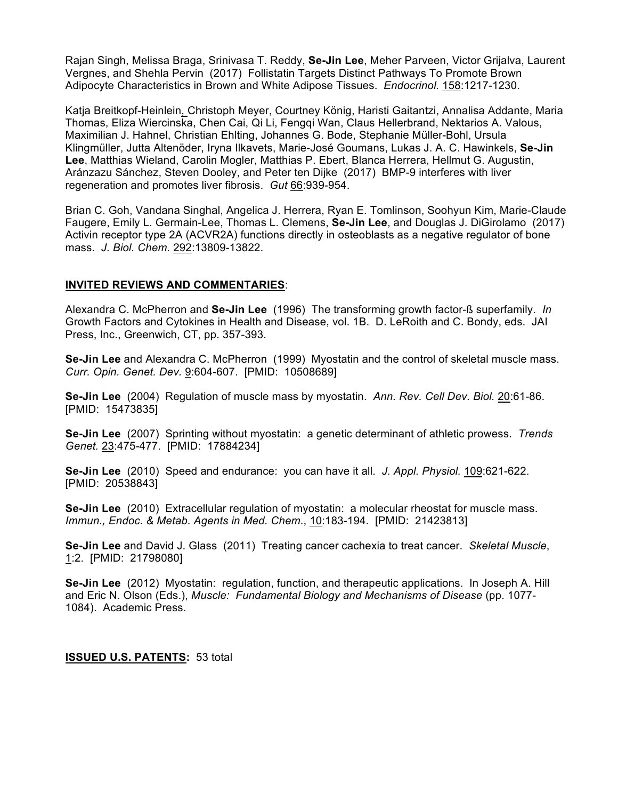Rajan Singh, Melissa Braga, Srinivasa T. Reddy, **Se-Jin Lee**, Meher Parveen, Victor Grijalva, Laurent Vergnes, and Shehla Pervin (2017) Follistatin Targets Distinct Pathways To Promote Brown Adipocyte Characteristics in Brown and White Adipose Tissues. *Endocrinol.* 158:1217-1230.

Katja Breitkopf-Heinlein, Christoph Meyer, Courtney König, Haristi Gaitantzi, Annalisa Addante, Maria Thomas, Eliza Wiercinska, Chen Cai, Qi Li, Fengqi Wan, Claus Hellerbrand, Nektarios A. Valous, Maximilian J. Hahnel, Christian Ehlting, Johannes G. Bode, Stephanie Müller-Bohl, Ursula Klingmüller, Jutta Altenöder, Iryna Ilkavets, Marie-José Goumans, Lukas J. A. C. Hawinkels, **Se-Jin Lee**, Matthias Wieland, Carolin Mogler, Matthias P. Ebert, Blanca Herrera, Hellmut G. Augustin, Aránzazu Sánchez, Steven Dooley, and Peter ten Dijke (2017) BMP-9 interferes with liver regeneration and promotes liver fibrosis. *Gut* 66:939-954.

Brian C. Goh, Vandana Singhal, Angelica J. Herrera, Ryan E. Tomlinson, Soohyun Kim, Marie-Claude Faugere, Emily L. Germain-Lee, Thomas L. Clemens, **Se-Jin Lee**, and Douglas J. DiGirolamo (2017) Activin receptor type 2A (ACVR2A) functions directly in osteoblasts as a negative regulator of bone mass. *J. Biol. Chem.* 292:13809-13822.

#### **INVITED REVIEWS AND COMMENTARIES**:

Alexandra C. McPherron and **Se-Jin Lee** (1996) The transforming growth factor-ß superfamily. *In* Growth Factors and Cytokines in Health and Disease, vol. 1B. D. LeRoith and C. Bondy, eds. JAI Press, Inc., Greenwich, CT, pp. 357-393.

**Se-Jin Lee** and Alexandra C. McPherron (1999) Myostatin and the control of skeletal muscle mass. *Curr. Opin. Genet. Dev.* 9:604-607. [PMID: 10508689]

**Se-Jin Lee** (2004) Regulation of muscle mass by myostatin. *Ann. Rev. Cell Dev. Biol.* 20:61-86. [PMID: 15473835]

**Se-Jin Lee** (2007) Sprinting without myostatin: a genetic determinant of athletic prowess. *Trends Genet.* 23:475-477. [PMID: 17884234]

**Se-Jin Lee** (2010) Speed and endurance: you can have it all. *J. Appl. Physiol.* 109:621-622. [PMID: 20538843]

**Se-Jin Lee** (2010) Extracellular regulation of myostatin: a molecular rheostat for muscle mass. *Immun., Endoc. & Metab. Agents in Med. Chem.*, 10:183-194. [PMID: 21423813]

**Se-Jin Lee** and David J. Glass (2011) Treating cancer cachexia to treat cancer. *Skeletal Muscle*, 1:2. [PMID: 21798080]

**Se-Jin Lee** (2012) Myostatin: regulation, function, and therapeutic applications. In Joseph A. Hill and Eric N. Olson (Eds.), *Muscle: Fundamental Biology and Mechanisms of Disease* (pp. 1077- 1084). Academic Press.

#### **ISSUED U.S. PATENTS:** 53 total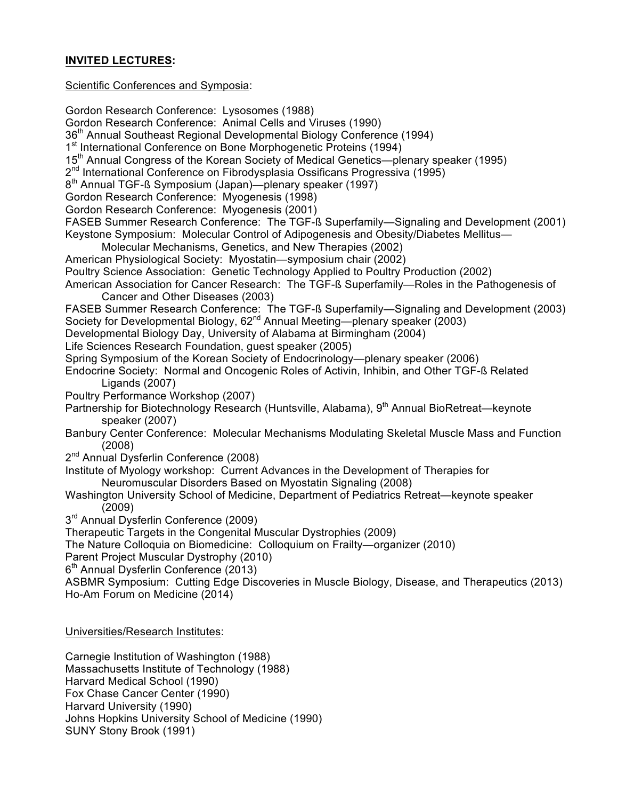# **INVITED LECTURES:**

Scientific Conferences and Symposia:

Gordon Research Conference: Lysosomes (1988) Gordon Research Conference: Animal Cells and Viruses (1990) 36<sup>th</sup> Annual Southeast Regional Developmental Biology Conference (1994) 1<sup>st</sup> International Conference on Bone Morphogenetic Proteins (1994) 15<sup>th</sup> Annual Congress of the Korean Society of Medical Genetics—plenary speaker (1995) 2<sup>nd</sup> International Conference on Fibrodysplasia Ossificans Progressiva (1995) 8<sup>th</sup> Annual TGF-ß Symposium (Japan)—plenary speaker (1997) Gordon Research Conference: Myogenesis (1998) Gordon Research Conference: Myogenesis (2001) FASEB Summer Research Conference: The TGF-ß Superfamily—Signaling and Development (2001) Keystone Symposium: Molecular Control of Adipogenesis and Obesity/Diabetes Mellitus— Molecular Mechanisms, Genetics, and New Therapies (2002) American Physiological Society: Myostatin—symposium chair (2002) Poultry Science Association: Genetic Technology Applied to Poultry Production (2002) American Association for Cancer Research: The TGF-ß Superfamily—Roles in the Pathogenesis of Cancer and Other Diseases (2003) FASEB Summer Research Conference: The TGF-ß Superfamily—Signaling and Development (2003) Society for Developmental Biology, 62<sup>nd</sup> Annual Meeting—plenary speaker (2003) Developmental Biology Day, University of Alabama at Birmingham (2004) Life Sciences Research Foundation, guest speaker (2005) Spring Symposium of the Korean Society of Endocrinology—plenary speaker (2006) Endocrine Society: Normal and Oncogenic Roles of Activin, Inhibin, and Other TGF-ß Related Ligands (2007) Poultry Performance Workshop (2007) Partnership for Biotechnology Research (Huntsville, Alabama), 9<sup>th</sup> Annual BioRetreat—keynote speaker (2007) Banbury Center Conference: Molecular Mechanisms Modulating Skeletal Muscle Mass and Function (2008) 2<sup>nd</sup> Annual Dysferlin Conference (2008) Institute of Myology workshop: Current Advances in the Development of Therapies for Neuromuscular Disorders Based on Myostatin Signaling (2008) Washington University School of Medicine, Department of Pediatrics Retreat—keynote speaker (2009) 3<sup>rd</sup> Annual Dysferlin Conference (2009) Therapeutic Targets in the Congenital Muscular Dystrophies (2009) The Nature Colloquia on Biomedicine: Colloquium on Frailty—organizer (2010) Parent Project Muscular Dystrophy (2010) 6<sup>th</sup> Annual Dysferlin Conference (2013) ASBMR Symposium: Cutting Edge Discoveries in Muscle Biology, Disease, and Therapeutics (2013) Ho-Am Forum on Medicine (2014) Universities/Research Institutes: Carnegie Institution of Washington (1988)

Massachusetts Institute of Technology (1988) Harvard Medical School (1990) Fox Chase Cancer Center (1990) Harvard University (1990) Johns Hopkins University School of Medicine (1990) SUNY Stony Brook (1991)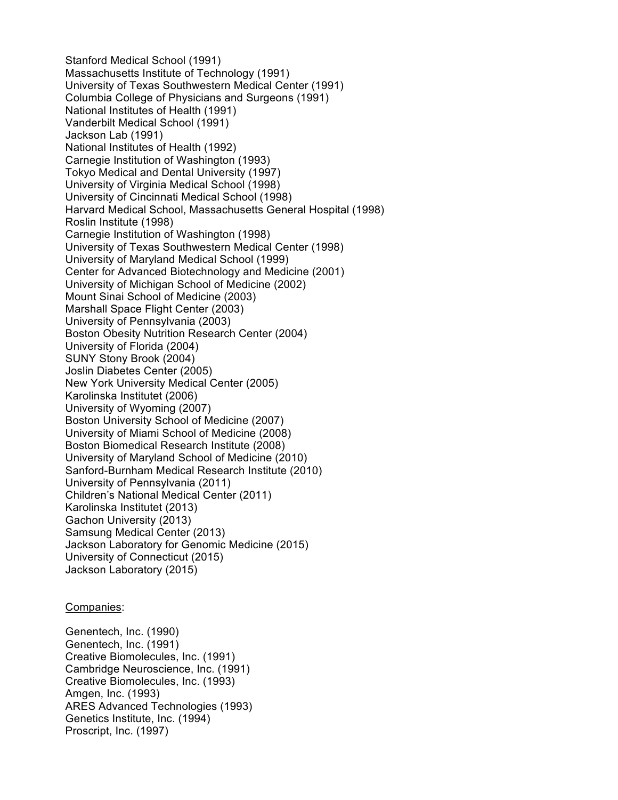Stanford Medical School (1991) Massachusetts Institute of Technology (1991) University of Texas Southwestern Medical Center (1991) Columbia College of Physicians and Surgeons (1991) National Institutes of Health (1991) Vanderbilt Medical School (1991) Jackson Lab (1991) National Institutes of Health (1992) Carnegie Institution of Washington (1993) Tokyo Medical and Dental University (1997) University of Virginia Medical School (1998) University of Cincinnati Medical School (1998) Harvard Medical School, Massachusetts General Hospital (1998) Roslin Institute (1998) Carnegie Institution of Washington (1998) University of Texas Southwestern Medical Center (1998) University of Maryland Medical School (1999) Center for Advanced Biotechnology and Medicine (2001) University of Michigan School of Medicine (2002) Mount Sinai School of Medicine (2003) Marshall Space Flight Center (2003) University of Pennsylvania (2003) Boston Obesity Nutrition Research Center (2004) University of Florida (2004) SUNY Stony Brook (2004) Joslin Diabetes Center (2005) New York University Medical Center (2005) Karolinska Institutet (2006) University of Wyoming (2007) Boston University School of Medicine (2007) University of Miami School of Medicine (2008) Boston Biomedical Research Institute (2008) University of Maryland School of Medicine (2010) Sanford-Burnham Medical Research Institute (2010) University of Pennsylvania (2011) Children's National Medical Center (2011) Karolinska Institutet (2013) Gachon University (2013) Samsung Medical Center (2013) Jackson Laboratory for Genomic Medicine (2015) University of Connecticut (2015) Jackson Laboratory (2015)

#### Companies:

Genentech, Inc. (1990) Genentech, Inc. (1991) Creative Biomolecules, Inc. (1991) Cambridge Neuroscience, Inc. (1991) Creative Biomolecules, Inc. (1993) Amgen, Inc. (1993) ARES Advanced Technologies (1993) Genetics Institute, Inc. (1994) Proscript, Inc. (1997)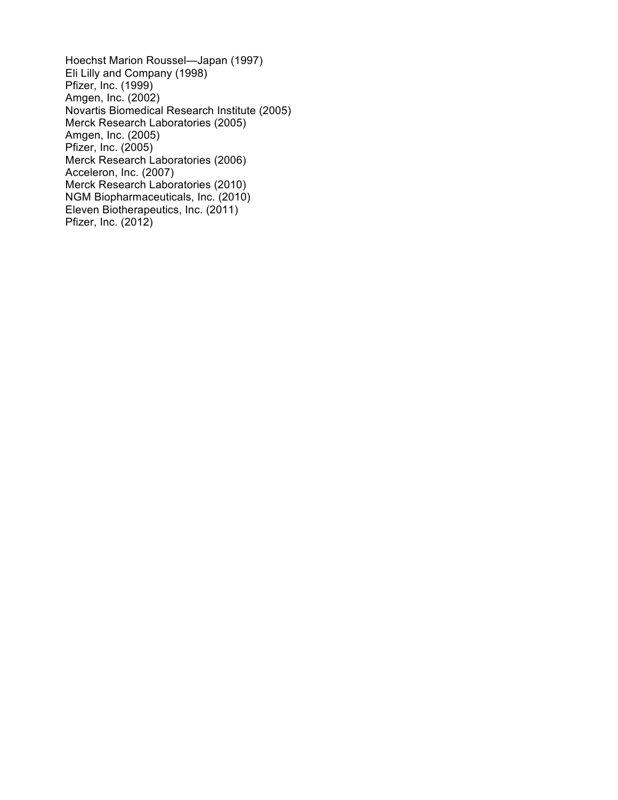Hoechst Marion Roussel—Japan (1997) Eli Lilly and Company (1998) Pfizer, Inc. (1999) Amgen, Inc. (2002) Novartis Biomedical Research Institute (2005) Merck Research Laboratories (2005) Amgen, Inc. (2005) Pfizer, Inc. (2005) Merck Research Laboratories (2006) Acceleron, Inc. (2007) Merck Research Laboratories (2010) NGM Biopharmaceuticals, Inc. (2010) Eleven Biotherapeutics, Inc. (2011) Pfizer, Inc. (2012)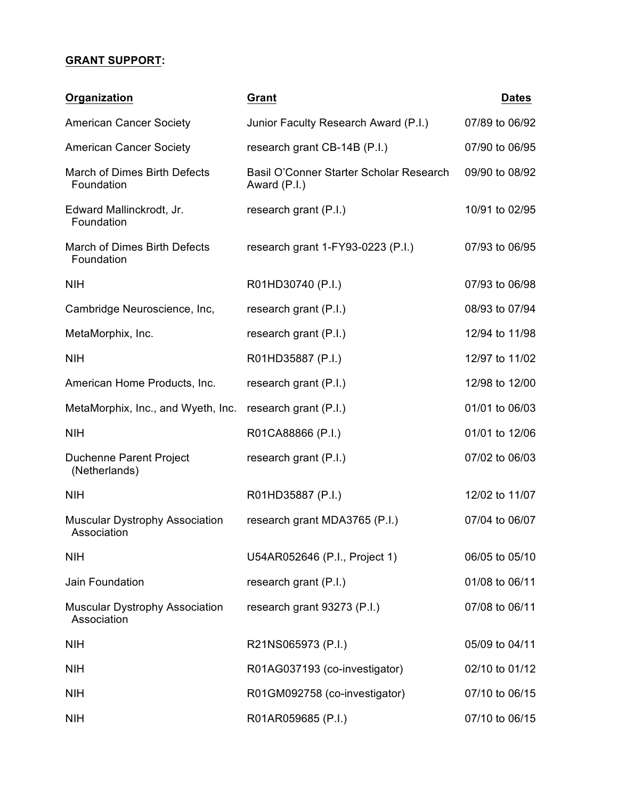# **GRANT SUPPORT:**

| <b>Organization</b>                                  | Grant                                                   | <b>Dates</b>   |
|------------------------------------------------------|---------------------------------------------------------|----------------|
| <b>American Cancer Society</b>                       | Junior Faculty Research Award (P.I.)                    | 07/89 to 06/92 |
| <b>American Cancer Society</b>                       | research grant CB-14B (P.I.)                            | 07/90 to 06/95 |
| March of Dimes Birth Defects<br>Foundation           | Basil O'Conner Starter Scholar Research<br>Award (P.I.) | 09/90 to 08/92 |
| Edward Mallinckrodt, Jr.<br>Foundation               | research grant (P.I.)                                   | 10/91 to 02/95 |
| March of Dimes Birth Defects<br>Foundation           | research grant 1-FY93-0223 (P.I.)                       | 07/93 to 06/95 |
| <b>NIH</b>                                           | R01HD30740 (P.I.)                                       | 07/93 to 06/98 |
| Cambridge Neuroscience, Inc,                         | research grant (P.I.)                                   | 08/93 to 07/94 |
| MetaMorphix, Inc.                                    | research grant (P.I.)                                   | 12/94 to 11/98 |
| <b>NIH</b>                                           | R01HD35887 (P.I.)                                       | 12/97 to 11/02 |
| American Home Products, Inc.                         | research grant (P.I.)                                   | 12/98 to 12/00 |
| MetaMorphix, Inc., and Wyeth, Inc.                   | research grant (P.I.)                                   | 01/01 to 06/03 |
| <b>NIH</b>                                           | R01CA88866 (P.I.)                                       | 01/01 to 12/06 |
| Duchenne Parent Project<br>(Netherlands)             | research grant (P.I.)                                   | 07/02 to 06/03 |
| <b>NIH</b>                                           | R01HD35887 (P.I.)                                       | 12/02 to 11/07 |
| <b>Muscular Dystrophy Association</b><br>Association | research grant MDA3765 (P.I.)                           | 07/04 to 06/07 |
| <b>NIH</b>                                           | U54AR052646 (P.I., Project 1)                           | 06/05 to 05/10 |
| Jain Foundation                                      | research grant (P.I.)                                   | 01/08 to 06/11 |
| <b>Muscular Dystrophy Association</b><br>Association | research grant 93273 (P.I.)                             | 07/08 to 06/11 |
| <b>NIH</b>                                           | R21NS065973 (P.I.)                                      | 05/09 to 04/11 |
| <b>NIH</b>                                           | R01AG037193 (co-investigator)                           | 02/10 to 01/12 |
| <b>NIH</b>                                           | R01GM092758 (co-investigator)                           | 07/10 to 06/15 |
| <b>NIH</b>                                           | R01AR059685 (P.I.)                                      | 07/10 to 06/15 |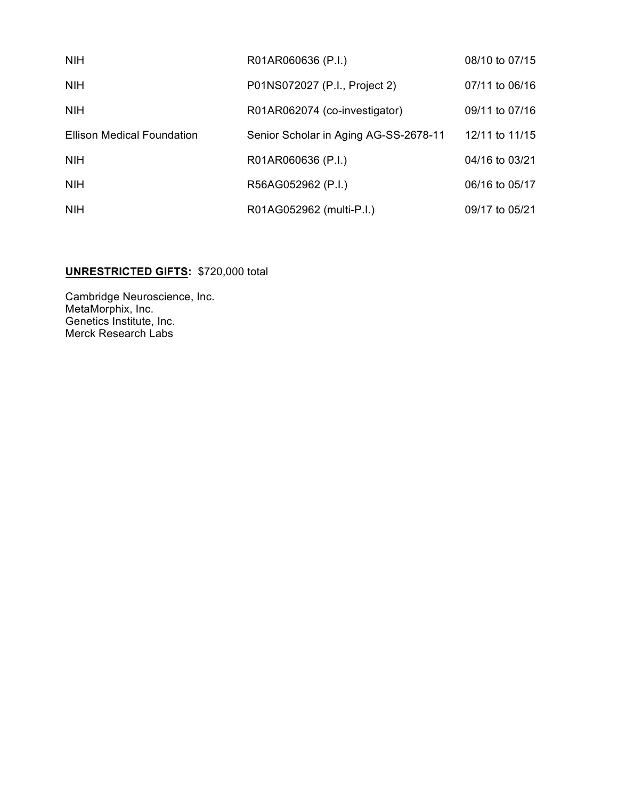| <b>NIH</b>                        | R01AR060636 (P.I.)                    | 08/10 to 07/15 |
|-----------------------------------|---------------------------------------|----------------|
| <b>NIH</b>                        | P01NS072027 (P.I., Project 2)         | 07/11 to 06/16 |
| <b>NIH</b>                        | R01AR062074 (co-investigator)         | 09/11 to 07/16 |
| <b>Ellison Medical Foundation</b> | Senior Scholar in Aging AG-SS-2678-11 | 12/11 to 11/15 |
| <b>NIH</b>                        | R01AR060636 (P.I.)                    | 04/16 to 03/21 |
| <b>NIH</b>                        | R56AG052962 (P.I.)                    | 06/16 to 05/17 |
| <b>NIH</b>                        | R01AG052962 (multi-P.I.)              | 09/17 to 05/21 |

# **UNRESTRICTED GIFTS:** \$720,000 total

Cambridge Neuroscience, Inc. MetaMorphix, Inc. Genetics Institute, Inc. Merck Research Labs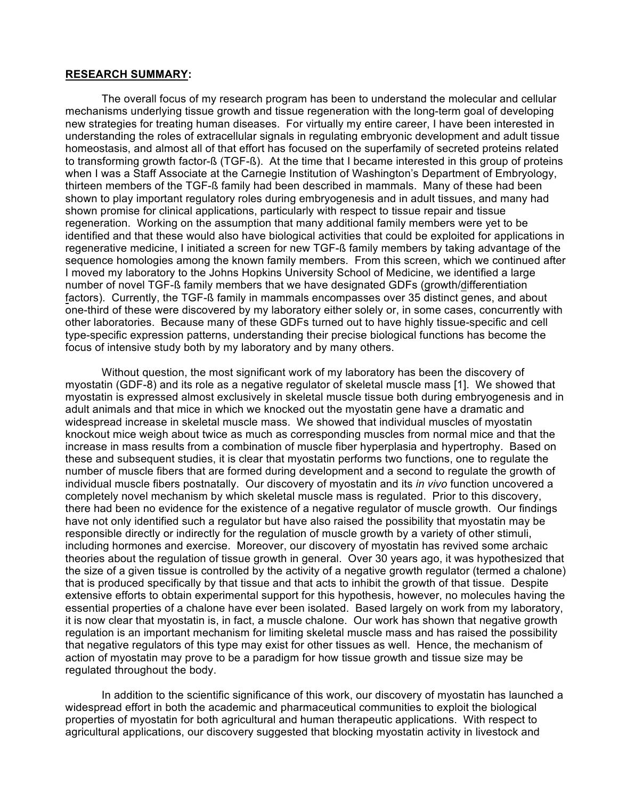#### **RESEARCH SUMMARY:**

The overall focus of my research program has been to understand the molecular and cellular mechanisms underlying tissue growth and tissue regeneration with the long-term goal of developing new strategies for treating human diseases. For virtually my entire career, I have been interested in understanding the roles of extracellular signals in regulating embryonic development and adult tissue homeostasis, and almost all of that effort has focused on the superfamily of secreted proteins related to transforming growth factor-ß (TGF-ß). At the time that I became interested in this group of proteins when I was a Staff Associate at the Carnegie Institution of Washington's Department of Embryology, thirteen members of the TGF-ß family had been described in mammals. Many of these had been shown to play important regulatory roles during embryogenesis and in adult tissues, and many had shown promise for clinical applications, particularly with respect to tissue repair and tissue regeneration. Working on the assumption that many additional family members were yet to be identified and that these would also have biological activities that could be exploited for applications in regenerative medicine, I initiated a screen for new TGF-ß family members by taking advantage of the sequence homologies among the known family members. From this screen, which we continued after I moved my laboratory to the Johns Hopkins University School of Medicine, we identified a large number of novel TGF-ß family members that we have designated GDFs (growth/differentiation factors). Currently, the TGF-ß family in mammals encompasses over 35 distinct genes, and about one-third of these were discovered by my laboratory either solely or, in some cases, concurrently with other laboratories. Because many of these GDFs turned out to have highly tissue-specific and cell type-specific expression patterns, understanding their precise biological functions has become the focus of intensive study both by my laboratory and by many others.

Without question, the most significant work of my laboratory has been the discovery of myostatin (GDF-8) and its role as a negative regulator of skeletal muscle mass [1]. We showed that myostatin is expressed almost exclusively in skeletal muscle tissue both during embryogenesis and in adult animals and that mice in which we knocked out the myostatin gene have a dramatic and widespread increase in skeletal muscle mass. We showed that individual muscles of myostatin knockout mice weigh about twice as much as corresponding muscles from normal mice and that the increase in mass results from a combination of muscle fiber hyperplasia and hypertrophy. Based on these and subsequent studies, it is clear that myostatin performs two functions, one to regulate the number of muscle fibers that are formed during development and a second to regulate the growth of individual muscle fibers postnatally. Our discovery of myostatin and its *in vivo* function uncovered a completely novel mechanism by which skeletal muscle mass is regulated. Prior to this discovery, there had been no evidence for the existence of a negative regulator of muscle growth. Our findings have not only identified such a regulator but have also raised the possibility that myostatin may be responsible directly or indirectly for the regulation of muscle growth by a variety of other stimuli, including hormones and exercise. Moreover, our discovery of myostatin has revived some archaic theories about the regulation of tissue growth in general. Over 30 years ago, it was hypothesized that the size of a given tissue is controlled by the activity of a negative growth regulator (termed a chalone) that is produced specifically by that tissue and that acts to inhibit the growth of that tissue. Despite extensive efforts to obtain experimental support for this hypothesis, however, no molecules having the essential properties of a chalone have ever been isolated. Based largely on work from my laboratory, it is now clear that myostatin is, in fact, a muscle chalone. Our work has shown that negative growth regulation is an important mechanism for limiting skeletal muscle mass and has raised the possibility that negative regulators of this type may exist for other tissues as well. Hence, the mechanism of action of myostatin may prove to be a paradigm for how tissue growth and tissue size may be regulated throughout the body.

In addition to the scientific significance of this work, our discovery of myostatin has launched a widespread effort in both the academic and pharmaceutical communities to exploit the biological properties of myostatin for both agricultural and human therapeutic applications. With respect to agricultural applications, our discovery suggested that blocking myostatin activity in livestock and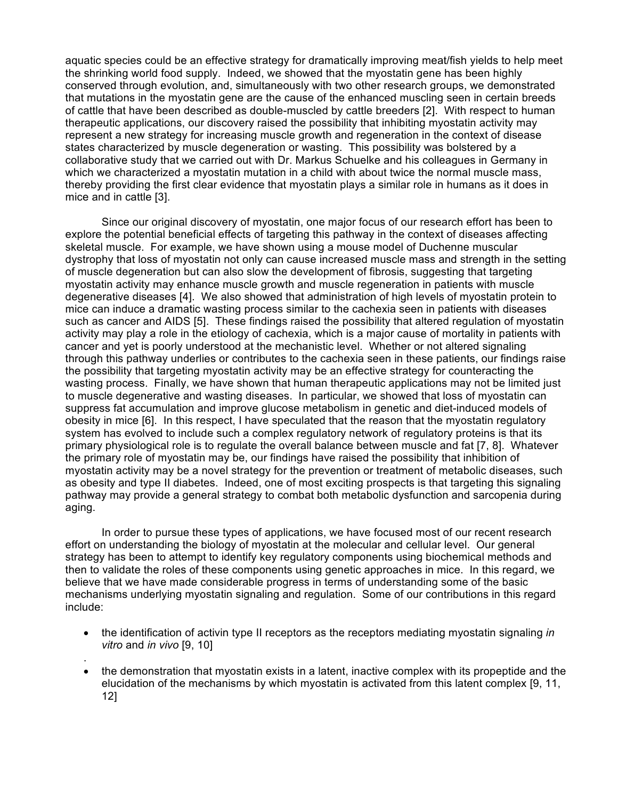aquatic species could be an effective strategy for dramatically improving meat/fish yields to help meet the shrinking world food supply. Indeed, we showed that the myostatin gene has been highly conserved through evolution, and, simultaneously with two other research groups, we demonstrated that mutations in the myostatin gene are the cause of the enhanced muscling seen in certain breeds of cattle that have been described as double-muscled by cattle breeders [2]. With respect to human therapeutic applications, our discovery raised the possibility that inhibiting myostatin activity may represent a new strategy for increasing muscle growth and regeneration in the context of disease states characterized by muscle degeneration or wasting. This possibility was bolstered by a collaborative study that we carried out with Dr. Markus Schuelke and his colleagues in Germany in which we characterized a myostatin mutation in a child with about twice the normal muscle mass, thereby providing the first clear evidence that myostatin plays a similar role in humans as it does in mice and in cattle [3].

Since our original discovery of myostatin, one major focus of our research effort has been to explore the potential beneficial effects of targeting this pathway in the context of diseases affecting skeletal muscle. For example, we have shown using a mouse model of Duchenne muscular dystrophy that loss of myostatin not only can cause increased muscle mass and strength in the setting of muscle degeneration but can also slow the development of fibrosis, suggesting that targeting myostatin activity may enhance muscle growth and muscle regeneration in patients with muscle degenerative diseases [4]. We also showed that administration of high levels of myostatin protein to mice can induce a dramatic wasting process similar to the cachexia seen in patients with diseases such as cancer and AIDS [5]. These findings raised the possibility that altered regulation of myostatin activity may play a role in the etiology of cachexia, which is a major cause of mortality in patients with cancer and yet is poorly understood at the mechanistic level. Whether or not altered signaling through this pathway underlies or contributes to the cachexia seen in these patients, our findings raise the possibility that targeting myostatin activity may be an effective strategy for counteracting the wasting process. Finally, we have shown that human therapeutic applications may not be limited just to muscle degenerative and wasting diseases. In particular, we showed that loss of myostatin can suppress fat accumulation and improve glucose metabolism in genetic and diet-induced models of obesity in mice [6]. In this respect, I have speculated that the reason that the myostatin regulatory system has evolved to include such a complex regulatory network of regulatory proteins is that its primary physiological role is to regulate the overall balance between muscle and fat [7, 8]. Whatever the primary role of myostatin may be, our findings have raised the possibility that inhibition of myostatin activity may be a novel strategy for the prevention or treatment of metabolic diseases, such as obesity and type II diabetes. Indeed, one of most exciting prospects is that targeting this signaling pathway may provide a general strategy to combat both metabolic dysfunction and sarcopenia during aging.

In order to pursue these types of applications, we have focused most of our recent research effort on understanding the biology of myostatin at the molecular and cellular level. Our general strategy has been to attempt to identify key regulatory components using biochemical methods and then to validate the roles of these components using genetic approaches in mice. In this regard, we believe that we have made considerable progress in terms of understanding some of the basic mechanisms underlying myostatin signaling and regulation. Some of our contributions in this regard include:

• the identification of activin type II receptors as the receptors mediating myostatin signaling *in vitro* and *in vivo* [9, 10]

.

• the demonstration that myostatin exists in a latent, inactive complex with its propeptide and the elucidation of the mechanisms by which myostatin is activated from this latent complex [9, 11, 12]